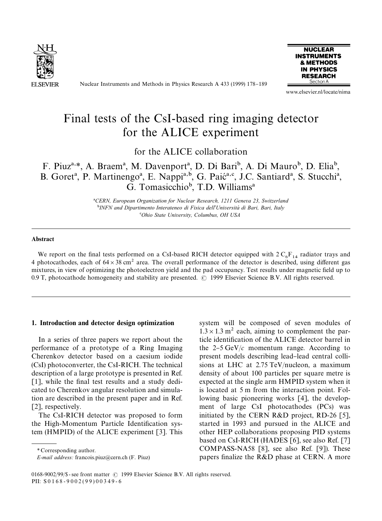

Nuclear Instruments and Methods in Physics Research A 433 (1999) 178-189



www.elsevier.nl/locate/nima

# Final tests of the CsI-based ring imaging detector for the ALICE experiment

for the ALICE collaboration

F. Piuz<sup>a,\*</sup>, A. Braem<sup>a</sup>, M. Davenport<sup>a</sup>, D. Di Bari<sup>b</sup>, A. Di Mauro<sup>b</sup>, D. Elia<sup>b</sup>, B. Goret<sup>a</sup>, P. Martinengo<sup>a</sup>, E. Nappi<sup>a,b</sup>, G. Paic<sup>a,c</sup>, J.C. Santiard<sup>a</sup>, S. Stucchi<sup>a</sup>, G. Tomasicchio<sup>b</sup>, T.D. Williams<sup>a</sup>

> !*CERN, European Organization for Nuclear Research, 1211 Geneva 23, Switzerland* "*INFN and Dipartimento Interateneo di Fisica dell*'*Universita*& *di Bari, Bari, Italy* #*Ohio State University, Columbus, OH USA*

#### Abstract

We report on the final tests performed on a CsI-based RICH detector equipped with  $2 C_6F_{14}$  radiator trays and 4 photocathodes, each of  $64 \times 38$  cm<sup>2</sup> area. The overall performance of the detector is described, using different gas mixtures, in view of optimizing the photoelectron yield and the pad occupancy. Test results under magnetic field up to 0.9 T, photocathode homogeneity and stability are presented. © 1999 Elsevier Science B.V. All rights reserved.

## 1. Introduction and detector design optimization

In a series of three papers we report about the performance of a prototype of a Ring Imaging Cherenkov detector based on a caesium iodide (CsI) photoconverter, the CsI-RICH. The technical description of a large prototype is presented in Ref.  $[1]$ , while the final test results and a study dedicated to Cherenkov angular resolution and simulation are described in the present paper and in Ref. [2], respectively.

The CsI-RICH detector was proposed to form the High-Momentum Particle Identification system (HMPID) of the ALICE experiment [3]. This

*\** Corresponding author.

system will be composed of seven modules of  $1.3 \times 1.3$  m<sup>2</sup> each, aiming to complement the particle identification of the ALICE detector barrel in the  $2-5 \text{ GeV}/c$  momentum range. According to present models describing lead-lead central collisions at LHC at 2.75 TeV/nucleon, a maximum density of about 100 particles per square metre is expected at the single arm HMPID system when it is located at 5 m from the interaction point. Following basic pioneering works [4], the development of large CsI photocathodes (PCs) was initiated by the CERN R&D project, RD-26 [5], started in 1993 and pursued in the ALICE and other HEP collaborations proposing PID systems based on CsI-RICH (HADES [6], see also Ref. [7] COMPASS-NA58 [8], see also Ref. [9]). These papers finalize the R&D phase at CERN. A more

*E-mail address:* francois.piuz@cern.ch (F. Piuz)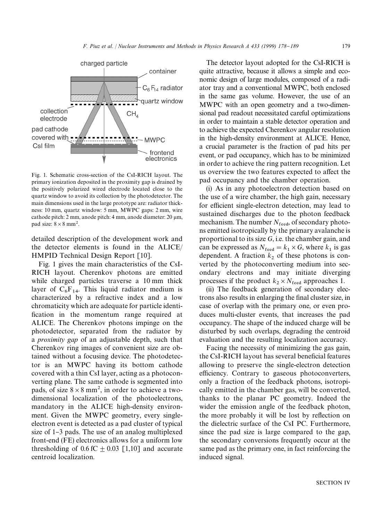

Fig. 1. Schematic cross-section of the CsI-RICH layout. The primary ionization deposited in the proximity gap is drained by the positively polarized wired electrode located close to the quartz window to avoid its collection by the photodetector. The main dimensions used in the large prototype are: radiator thickness: 10 mm, quartz window: 5 mm, MWPC gaps: 2 mm, wire cathode pitch:  $2 \text{ mm}$ , anode pitch:  $4 \text{ mm}$ , anode diameter:  $20 \mu \text{m}$ , pad size:  $8 \times 8$  mm<sup>2</sup>.

detailed description of the development work and the detector elements is found in the ALICE/ HMPID Technical Design Report [10].

Fig. 1 gives the main characteristics of the CsI-RICH layout. Cherenkov photons are emitted while charged particles traverse a 10 mm thick layer of  $C_6F_{14}$ . This liquid radiator medium is characterized by a refractive index and a low chromaticity which are adequate for particle identi fication in the momentum range required at ALICE. The Cherenkov photons impinge on the photodetector, separated from the radiator by a *proximity gap* of an adjustable depth, such that Cherenkov ring images of convenient size are obtained without a focusing device. The photodetector is an MWPC having its bottom cathode covered with a thin CsI layer, acting as a photoconverting plane. The same cathode is segmented into pads, of size  $8 \times 8$  mm<sup>2</sup>, in order to achieve a twodimensional localization of the photoelectrons, mandatory in the ALICE high-density environment. Given the MWPC geometry, every singleelectron event is detected as a pad cluster of typical size of  $1-3$  pads. The use of an analog multiplexed front-end (FE) electronics allows for a uniform low thresholding of  $0.6 \text{ fC} + 0.03 \text{ [1,10]}$  and accurate centroid localization.

The detector layout adopted for the CsI-RICH is quite attractive, because it allows a simple and economic design of large modules, composed of a radiator tray and a conventional MWPC, both enclosed in the same gas volume. However, the use of an MWPC with an open geometry and a two-dimensional pad readout necessitated careful optimizations in order to maintain a stable detector operation and to achieve the expected Cherenkov angular resolution in the high-density environment at ALICE. Hence, a crucial parameter is the fraction of pad hits per event, or pad occupancy, which has to be minimized in order to achieve the ring pattern recognition. Let us overview the two features expected to affect the pad occupancy and the chamber operation.

(i) As in any photoelectron detection based on the use of a wire chamber, the high gain, necessary for efficient single-electron detection, may lead to sustained discharges due to the photon feedback mechanism. The number  $N_{\text{feed}}$ , of secondary photons emitted isotropically by the primary avalanche is proportional to its size *G*, i.e. the chamber gain, and can be expressed as  $N_{\text{feed}} = k_1 \times G$ , where  $k_1$  is gas dependent. A fraction  $k_2$  of these photons is converted by the photoconverting medium into secondary electrons and may initiate diverging processes if the product  $k_2 \times N_{\text{feed}}$  approaches 1.

(ii) The feedback generation of secondary electrons also results in enlarging the final cluster size, in case of overlap with the primary one, or even produces multi-cluster events, that increases the pad occupancy. The shape of the induced charge will be disturbed by such overlaps, degrading the centroid evaluation and the resulting localization accuracy.

Facing the necessity of minimizing the gas gain, the CsI-RICH layout has several beneficial features allowing to preserve the single-electron detection efficiency. Contrary to gaseous photoconverters, only a fraction of the feedback photons, isotropically emitted in the chamber gas, will be converted, thanks to the planar PC geometry. Indeed the wider the emission angle of the feedback photon, the more probably it will be lost by reflection on the dielectric surface of the CsI PC. Furthermore, since the pad size is large compared to the gap, the secondary conversions frequently occur at the same pad as the primary one, in fact reinforcing the induced signal.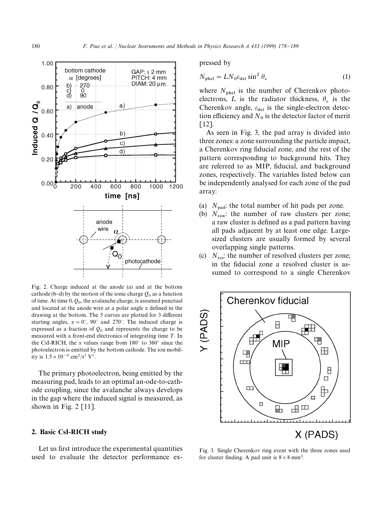

Fig. 2. Charge induced at the anode (a) and at the bottom cathode (b-d) by the motion of the ionic charge  $Q_0$  as a function of time. At time 0, *<sup>Q</sup>*<sup>0</sup> , the avalanche charge, is assumed punctual and located at the anode wire at a polar angle  $\alpha$  defined in the drawing at the bottom. The 3 curves are plotted for 3 different starting angles,  $\alpha = 0^{\circ}$ , 90° and 270°. The induced charge is expressed as a fraction of  $Q_0$  and represents the charge to be measured with a front-end electronics of integrating time  $T$ . In the CsI-RICH, the  $\alpha$  values range from 180 $^{\circ}$  to 360 $^{\circ}$  since the photoelectron is emitted by the bottom cathode. The ion mobility is  $1.5 \times 10^{-6}$  cm<sup>2</sup>/s<sup>1</sup> V<sup>1</sup>.

The primary photoelectron, being emitted by the measuring pad, leads to an optimal an-ode-to-cathode coupling, since the avalanche always develops in the gap where the induced signal is measured, as shown in Fig.  $2 \lfloor 11 \rfloor$ .

## 2. Basic CsI-RICH study

Let us first introduce the experimental quantities used to evaluate the detector performance expressed by

$$
N_{\text{phel}} = LN_0 \varepsilon_{\text{det}} \sin^2 \theta_{\text{c}} \tag{1}
$$

where  $N_{\text{phel}}$  is the number of Cherenkov photoelectrons, L is the radiator thickness,  $\theta_c$  is the Cherenkov angle,  $\varepsilon_{\text{det}}$  is the single-electron detection efficiency and  $N_0$  is the detector factor of merit [12].

As seen in Fig. 3, the pad array is divided into three zones: a zone surrounding the particle impact, a Cherenkov ring fiducial zone, and the rest of the pattern corresponding to background hits. They are referred to as MIP, fiducial, and background zones, respectively. The variables listed below can be independently analysed for each zone of the pad array:

- (a)  $N_{\text{pad}}$ : the total number of hit pads per zone.
- (b)  $N_{\text{raw}}$ ; the number of raw clusters per zone; a raw cluster is defined as a pad pattern having all pads adjacent by at least one edge. Largesized clusters are usually formed by several overlapping single patterns.
- (c)  $N_{\text{res}}$ : the number of resolved clusters per zone; in the fiducial zone a resolved cluster is assumed to correspond to a single Cherenkov



Fig. 3. Single Cherenkov ring event with the three zones used for cluster finding. A pad unit is  $8 \times 8$  mm<sup>2</sup>.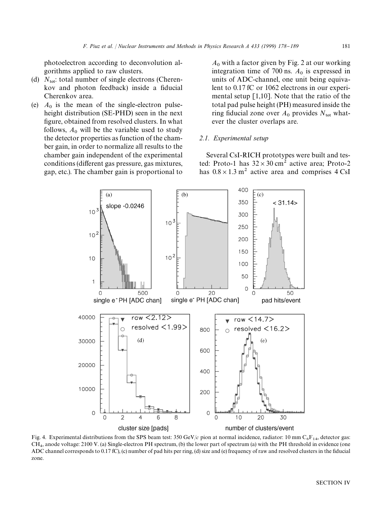photoelectron according to deconvolution algorithms applied to raw clusters.

- (d)  $N_{\text{tot}}$ : total number of single electrons (Cherenkov and photon feedback) inside a fiducial Cherenkov area.
- (e)  $A_0$  is the mean of the single-electron pulseheight distribution (SE-PHD) seen in the next figure, obtained from resolved clusters. In what follows,  $A_0$  will be the variable used to study the detector properties as function of the chamber gain, in order to normalize all results to the chamber gain independent of the experimental conditions (different gas pressure, gas mixtures, gap, etc.). The chamber gain is proportional to

 $A_0$  with a factor given by Fig. 2 at our working integration time of 700 ns.  $A_0$  is expressed in units of ADC-channel, one unit being equivalent to 0.17 fC or 1062 electrons in our experimental setup [1,10]. Note that the ratio of the total pad pulse height (PH) measured inside the ring fiducial zone over  $A_0$  provides  $N_{\text{tot}}$  whatever the cluster overlaps are.

# *2.1. Experimental setup*

Several CsI-RICH prototypes were built and tested: Proto-1 has  $32 \times 30$  cm<sup>2</sup> active area; Proto-2 has  $0.8 \times 1.3$  m<sup>2</sup> active area and comprises 4 CsI



Fig. 4. Experimental distributions from the SPS beam test: 350 GeV/ $c$  pion at normal incidence, radiator: 10 mm C<sub>6</sub>F<sub>14</sub>, detector gas:  $CH<sub>4</sub>$ , anode voltage: 2100 V. (a) Single-electron PH spectrum, (b) the lower part of spectrum (a) with the PH threshold in evidence (one ADC channel corresponds to 0.17 fC), (c) number of pad hits per ring, (d) size and (e) frequency of raw and resolved clusters in the fiducial zone.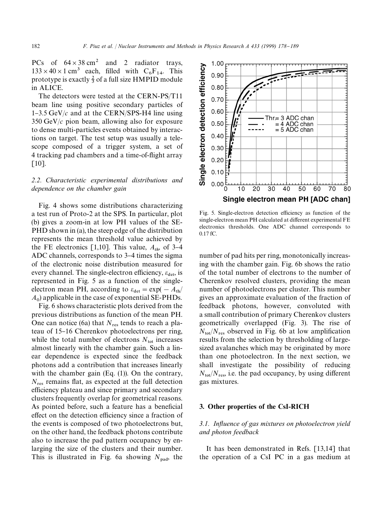PCs of  $64 \times 38$  cm<sup>2</sup> and 2 radiator trays,  $133 \times 40 \times 1$  cm<sup>3</sup> each, filled with  $C_6F_{14}$ . This prototype is exactly  $\frac{2}{3}$  of a full size HMPID module in ALICE.

The detectors were tested at the CERN-PS/T11 beam line using positive secondary particles of  $1-3.5$  GeV/ $c$  and at the CERN/SPS-H4 line using 350 GeV/*c* pion beam, allowing also for exposure to dense multi-particles events obtained by interactions on target. The test setup was usually a telescope composed of a trigger system, a set of 4 tracking pad chambers and a time-of-flight array [10].

# *2.2. Characteristic experimental distributions and dependence on the chamber gain*

Fig. 4 shows some distributions characterizing a test run of Proto-2 at the SPS. In particular, plot (b) gives a zoom-in at low PH values of the SE-PHD shown in (a), the steep edge of the distribution represents the mean threshold value achieved by the FE electronics [1,10]. This value,  $A_{th}$ , of 3-4 ADC channels, corresponds to 3–4 times the sigma of the electronic noise distribution measured for every channel. The single-electron efficiency,  $\varepsilon_{\text{det}}$ , is represented in Fig. 5 as a function of the singleelectron mean PH, according to  $\varepsilon_{\text{det}} = \exp(-A_{\text{th}})$  $A_0$  applicable in the case of exponential SE-PHDs.

Fig. 6 shows characteristic plots derived from the previous distributions as function of the mean PH. One can notice (6a) that  $N_{\text{res}}$  tends to reach a plateau of 15-16 Cherenkov photoelectrons per ring, while the total number of electrons  $N_{\text{tot}}$  increases almost linearly with the chamber gain. Such a linear dependence is expected since the feedback photons add a contribution that increases linearly with the chamber gain  $(Eq. (1))$ . On the contrary,  $N_{\text{res}}$  remains flat, as expected at the full detection efficiency plateau and since primary and secondary clusters frequently overlap for geometrical reasons. As pointed before, such a feature has a beneficial effect on the detection efficiency since a fraction of the events is composed of two photoelectrons but, on the other hand, the feedback photons contribute also to increase the pad pattern occupancy by enlarging the size of the clusters and their number. This is illustrated in Fig. 6a showing  $N_{\text{pad}}$ , the



Fig. 5. Single-electron detection efficiency as function of the single-electron mean PH calculated at different experimental FE electronics thresholds. One ADC channel corresponds to 0.17 fC.

number of pad hits per ring, monotonically increasing with the chamber gain. Fig. 6b shows the ratio of the total number of electrons to the number of Cherenkov resolved clusters, providing the mean number of photoelectrons per cluster. This number gives an approximate evaluation of the fraction of feedback photons, however, convoluted with a small contribution of primary Cherenkov clusters geometrically overlapped (Fig. 3). The rise of  $N_{\text{tot}}/N_{\text{res}}$  observed in Fig. 6b at low amplification results from the selection by thresholding of largesized avalanches which may be originated by more than one photoelectron. In the next section, we shall investigate the possibility of reducing  $N_{\text{tot}}/N_{\text{res}}$ , i.e. the pad occupancy, by using different gas mixtures.

#### 3. Other properties of the CsI-RICH

# 3.1. Influence of gas mixtures on photoelectron yield *and photon feedback*

It has been demonstrated in Refs. [13,14] that the operation of a CsI PC in a gas medium at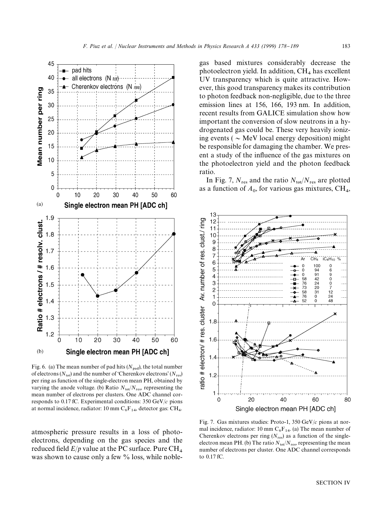

Fig. 6. (a) The mean number of pad hits  $(N_{pad})$ , the total number of electrons ( $N_{\text{tot}}$ ) and the number of 'Cherenkov electrons' ( $N_{\text{res}}$ ) per ring as function of the single-electron mean PH, obtained by varying the anode voltage. (b) Ratio  $N_{\text{tot}}/N_{\text{res}}$ , representing the mean number of electrons per clusters. One ADC channel corresponds to 0.17 fC. Experimental conditions: 350 GeV/*c* pions at normal incidence, radiator: 10 mm  $C_6F_{14}$ , detector gas: CH<sub>4</sub>.

atmospheric pressure results in a loss of photoelectrons, depending on the gas species and the reduced field  $E/p$  value at the PC surface. Pure CH<sub>4</sub> was shown to cause only a few % loss, while noblegas based mixtures considerably decrease the photoelectron yield. In addition,  $CH<sub>4</sub>$  has excellent UV transparency which is quite attractive. However, this good transparency makes its contribution to photon feedback non-negligible, due to the three emission lines at 156, 166, 193 nm. In addition, recent results from GALICE simulation show how important the conversion of slow neutrons in a hydrogenated gas could be. These very heavily ionizing events ( $\sim$  MeV local energy deposition) might be responsible for damaging the chamber. We present a study of the influence of the gas mixtures on the photoelectron yield and the photon feedback ratio.

In Fig. 7,  $N_{res}$  and the ratio  $N_{tot}/N_{res}$  are plotted as a function of  $A_0$ , for various gas mixtures,  $\text{CH}_4$ ,



Fig. 7. Gas mixtures studies: Proto-1, 350 GeV/*c* pions at normal incidence, radiator: 10 mm  $C_6F_{14}$ . (a) The mean number of Cherenkov electrons per ring  $(N_{res})$  as a function of the singleelectron mean PH. (b) The ratio  $N_{\text{tot}}/N_{\text{res}}$ , representing the mean number of electrons per cluster. One ADC channel corresponds to 0.17 fC.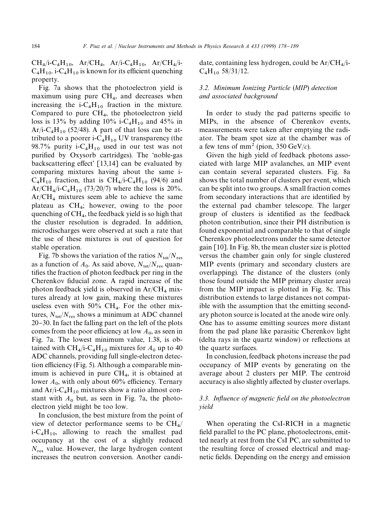$CH_4/i-C_4H_{10}$ ,  $Ar/CH_4$ ,  $Ar/i-C_4H_{10}$ ,  $Ar/CH_4/i-C_4H_{10}$  $C_4H_{10}$ . i-C<sub>4</sub>H<sub>10</sub> is known for its efficient quenching property.

Fig. 7a shows that the photoelectron yield is maximum using pure  $\text{CH}_4$ , and decreases when increasing the i- $C_4H_{10}$  fraction in the mixture. Compared to pure  $CH_4$ , the photoelectron yield loss is 13% by adding  $10\%$  i-C<sub>4</sub>H<sub>10</sub> and 45% in  $Ar/i-C_4H_{10}$  (52/48). A part of that loss can be attributed to a poorer i-C<sub>4</sub>H<sub>10</sub> UV transparency (the 98.7% purity i-C<sub>4</sub>H<sub>10</sub> used in our test was not purified by Oxysorb cartridges). The 'noble-gas backscattering effect'  $[13,14]$  can be evaluated by comparing mixtures having about the same i- $C_4H_{10}$  fraction, that is  $CH_4/i-C_4H_{10}$  (94/6) and  $Ar/CH_4/i-C_4H_{10}$  (73/20/7) where the loss is 20%.  $Ar/CH<sub>4</sub>$  mixtures seem able to achieve the same plateau as CH<sub>4</sub>; however, owing to the poor quenching of  $CH_4$ , the feedback yield is so high that the cluster resolution is degraded. In addition, microdischarges were observed at such a rate that the use of these mixtures is out of question for stable operation.

Fig. 7b shows the variation of the ratios  $N_{\text{tot}}/N_{\text{res}}$ as a function of  $A_0$ . As said above,  $N_{\text{tot}}/N_{\text{res}}$  quantifies the fraction of photon feedback per ring in the Cherenkov fiducial zone. A rapid increase of the photon feedback yield is observed in  $Ar/CH<sub>4</sub>$  mixtures already at low gain, making these mixtures useless even with  $50\% \text{ CH}_4$ . For the other mixtures,  $N_{\text{tot}}/N_{\text{res}}$  shows a minimum at ADC channel 20}30. In fact the falling part on the left of the plots comes from the poor efficiency at low  $A_0$ , as seen in Fig. 7a. The lowest minimum value, 1.38, is obtained with  $\text{CH}_4/\text{i}-\text{C}_4\text{H}_{10}$  mixtures for  $A_0$  up to 40 ADC channels, providing full single-electron detection efficiency (Fig. 5). Although a comparable minimum is achieved in pure  $\text{CH}_4$ , it is obtained at lower  $A_0$ , with only about 60% efficiency. Ternary and  $Ar/i-C_4H_{10}$  mixtures show a ratio almost constant with  $A_0$  but, as seen in Fig. 7a, the photoelectron yield might be too low.

In conclusion, the best mixture from the point of view of detector performance seems to be  $\text{CH}_4$ /  $i-C_4H_{10}$ , allowing to reach the smallest pad occupancy at the cost of a slightly reduced  $N_{\text{res}}$  value. However, the large hydrogen content increases the neutron conversion. Another candidate, containing less hydrogen, could be  $Ar/CH_4/i$ .  $C_4H_{10}$  58/31/12.

# *3.2. Minimum Ionizing Particle* (*MIP*) *detection and associated background*

In order to study the pad patterns specific to MIPs, in the absence of Cherenkov events, measurements were taken after emptying the radiator. The beam spot size at the chamber was of a few tens of  $mm^2$  (pion, 350 GeV/*c*).

Given the high yield of feedback photons associated with large MIP avalanches, an MIP event can contain several separated clusters. Fig. 8a shows the total number of clusters per event, which can be split into two groups. A small fraction comes from secondary interactions that are identified by the external pad chamber telescope. The larger group of clusters is identified as the feedback photon contribution, since their PH distribution is found exponential and comparable to that of single Cherenkov photoelectrons under the same detector gain [10]. In Fig. 8b, the mean cluster size is plotted versus the chamber gain only for single clustered MIP events (primary and secondary clusters are overlapping). The distance of the clusters (only those found outside the MIP primary cluster area) from the MIP impact is plotted in Fig. 8c. This distribution extends to large distances not compatible with the assumption that the emitting secondary photon source is located at the anode wire only. One has to assume emitting sources more distant from the pad plane like parasitic Cherenkov light (delta rays in the quartz window) or reflections at the quartz surfaces.

In conclusion, feedback photons increase the pad occupancy of MIP events by generating on the average about 2 clusters per MIP. The centroid accuracy is also slightly affected by cluster overlaps.

# *3.3. Influence of magnetic field on the photoelectron yield*

When operating the CsI-RICH in a magnetic field parallel to the PC plane, photoelectrons, emitted nearly at rest from the CsI PC, are submitted to the resulting force of crossed electrical and magnetic fields. Depending on the energy and emission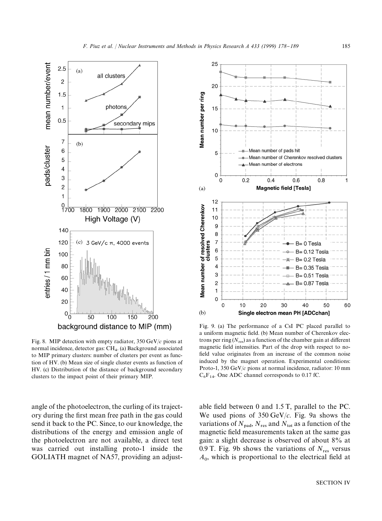

Fig. 8. MIP detection with empty radiator, 350 GeV/*c* pions at normal incidence, detector gas: CH<sub>4</sub>. (a) Background associated to MIP primary clusters: number of clusters per event as function of HV. (b) Mean size of single cluster events as function of HV. (c) Distribution of the distance of background secondary clusters to the impact point of their primary MIP.

angle of the photoelectron, the curling of its trajectory during the first mean free path in the gas could send it back to the PC. Since, to our knowledge, the distributions of the energy and emission angle of the photoelectron are not available, a direct test was carried out installing proto-1 inside the GOLIATH magnet of NA57, providing an adjust-



Fig. 9. (a) The performance of a CsI PC placed parallel to a uniform magnetic field. (b) Mean number of Cherenkov electrons per ring  $(N_{res})$  as a function of the chamber gain at different magnetic field intensities. Part of the drop with respect to nofield value originates from an increase of the common noise induced by the magnet operation. Experimental conditions: Proto-1, 350 GeV/*c* pions at normal incidence, radiator: 10 mm  $C_6F_{14}$ . One ADC channel corresponds to 0.17 fC.

able field between 0 and 1.5 T, parallel to the PC. We used pions of 350 GeV/*c*. Fig. 9a shows the variations of  $N_{\text{nad}}$ ,  $N_{\text{res}}$  and  $N_{\text{tot}}$  as a function of the magnetic field measurements taken at the same gas gain: a slight decrease is observed of about 8% at 0.9 T. Fig. 9b shows the variations of  $N_{\text{res}}$  versus  $A_0$ , which is proportional to the electrical field at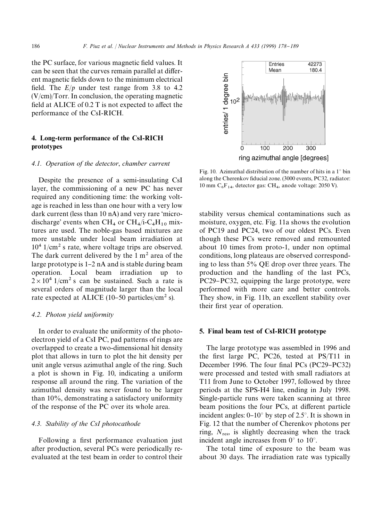the PC surface, for various magnetic field values. It can be seen that the curves remain parallel at different magnetic fields down to the minimum electrical field. The  $E/p$  under test range from 3.8 to 4.2 (V/cm)/Torr. In conclusion, the operating magnetic field at ALICE of  $0.2$  T is not expected to affect the performance of the CsI-RICH.

# 4. Long-term performance of the CsI-RICH prototypes

#### *4.1. Operation of the detector*, *chamber current*

Despite the presence of a semi-insulating CsI layer, the commissioning of a new PC has never required any conditioning time: the working voltage is reached in less than one hour with a very low dark current (less than  $10$  nA) and very rare 'microdischarge' events when  $\text{CH}_4$  or  $\text{CH}_4/\text{i-}C_4\text{H}_{10}$  mixtures are used. The noble-gas based mixtures are more unstable under local beam irradiation at  $10^4$  1/cm<sup>2</sup> s rate, where voltage trips are observed. The dark current delivered by the  $1 \text{ m}^2$  area of the large prototype is  $1-2$  nA and is stable during beam operation. Local beam irradiation up to  $2 \times 10^4$  1/cm<sup>2</sup> s can be sustained. Such a rate is several orders of magnitude larger than the local rate expected at ALICE (10–50 particles/cm<sup>2</sup> s).

#### *4.2. Photon yield uniformity*

In order to evaluate the uniformity of the photoelectron yield of a CsI PC, pad patterns of rings are overlapped to create a two-dimensional hit density plot that allows in turn to plot the hit density per unit angle versus azimuthal angle of the ring. Such a plot is shown in Fig. 10, indicating a uniform response all around the ring. The variation of the azimuthal density was never found to be larger than 10%, demonstrating a satisfactory uniformity of the response of the PC over its whole area.

# *4.3. Stability of the CsI photocathode*

Following a first performance evaluation just after production, several PCs were periodically reevaluated at the test beam in order to control their

Entries 42273 Mean 180.4 entries/ 1 degree bin<br>انا<br>م 200 100 300  $\Omega$ ring azimuthal angle [degrees]

Fig. 10. Azimuthal distribution of the number of hits in a  $1^\circ$  bin along the Cherenkov fiducial zone. (3000 events, PC32, radiator: 10 mm  $C_6F_{14}$ , detector gas: CH<sub>4</sub>, anode voltage: 2050 V).

stability versus chemical contaminations such as moisture, oxygen, etc. Fig. 11a shows the evolution of PC19 and PC24, two of our oldest PCs. Even though these PCs were removed and remounted about 10 times from proto-1, under non optimal conditions, long plateaus are observed corresponding to less than 5% QE drop over three years. The production and the handling of the last PCs, PC29–PC32, equipping the large prototype, were performed with more care and better controls. They show, in Fig. 11b, an excellent stability over their first year of operation.

#### 5. Final beam test of CsI-RICH prototype

The large prototype was assembled in 1996 and the first large PC, PC26, tested at  $PS/T11$  in December 1996. The four final PCs  $(PC29-PC32)$ were processed and tested with small radiators at T11 from June to October 1997, followed by three periods at the SPS-H4 line, ending in July 1998. Single-particle runs were taken scanning at three beam positions the four PCs, at different particle incident angles:  $0-10^{\circ}$  by step of 2.5°. It is shown in Fig. 12 that the number of Cherenkov photons per ring,  $N_{\text{res}}$ , is slightly decreasing when the track incident angle increases from  $0^{\circ}$  to  $10^{\circ}$ .

The total time of exposure to the beam was about 30 days. The irradiation rate was typically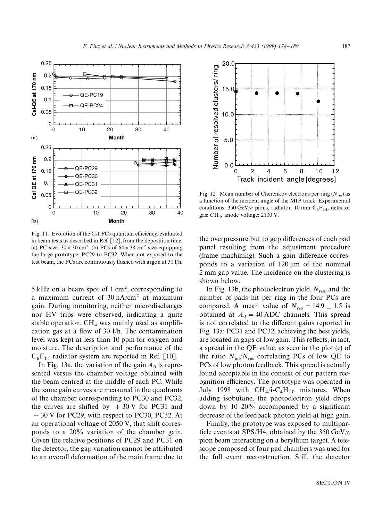

Fig. 11. Evolution of the CsI PCs quantum efficiency, evaluated in beam tests as described in Ref. [12], from the deposition time. (a) PC size:  $30 \times 30$  cm<sup>2</sup>. (b) PCs of  $64 \times 38$  cm<sup>2</sup> size equipping the large prototype, PC29 to PC32. When not exposed to the test beam, the PCs are continuously flushed with argon at 30 l/h.

 $5$  kHz on a beam spot of 1 cm<sup>2</sup>, corresponding to a maximum current of  $30 \text{ nA/cm}^2$  at maximum gain. During monitoring, neither microdischarges nor HV trips were observed, indicating a quite stable operation.  $CH<sub>4</sub>$  was mainly used as amplification gas at a flow of  $30 \frac{1}{h}$ . The contamination level was kept at less than 10 ppm for oxygen and moisture. The description and performance of the  $C_6F_{14}$  radiator system are reported in Ref. [10].

In Fig. 13a, the variation of the gain  $A_0$  is represented versus the chamber voltage obtained with the beam centred at the middle of each PC. While the same gain curves are measured in the quadrants of the chamber corresponding to PC30 and PC32, the curves are shifted by  $+30$  V for PC31 and  $-30$  V for PC29, with respect to PC30, PC32. At an operational voltage of 2050 V, that shift corresponds to a 20% variation of the chamber gain. Given the relative positions of PC29 and PC31 on the detector, the gap variation cannot be attributed to an overall deformation of the main frame due to



Fig. 12. Mean number of Cherenkov electrons per ring  $(N_{res})$  as a function of the incident angle of the MIP track. Experimental conditions:  $350 \text{ GeV}/c$  pions, radiator:  $10 \text{ mm } C_6F_{14}$ , detector gas: CH<sup>4</sup> , anode voltage: 2100 V.

the overpressure but to gap differences of each pad panel resulting from the adjustment procedure (frame machining). Such a gain difference corresponds to a variation of  $120 \mu m$  of the nominal 2 mm gap value. The incidence on the clustering is shown below.

In Fig. 13b, the photoelectron yield,  $N_{\text{res}}$  and the number of pads hit per ring in the four PCs are compared. A mean value of  $N_{\text{res}} = 14.9 \pm 1.5$  is obtained at  $A_0 = 40$  ADC channels. This spread is not correlated to the different gains reported in Fig. 13a: PC31 and PC32, achieving the best yields, are located in gaps of low gain. This reflects, in fact, a spread in the QE value, as seen in the plot (c) of the ratio  $N_{\text{tot}}/N_{\text{res}}$  correlating PCs of low QE to PCs of low photon feedback. This spread is actually found acceptable in the context of our pattern recognition efficiency. The prototype was operated in July 1998 with  $CH_4/i-C_4H_{10}$  mixtures. When adding isobutane, the photoelectron yield drops down by  $10-20\%$  accompanied by a significant decrease of the feedback photon yield at high gain.

Finally, the prototype was exposed to multiparticle events at SPS/H4, obtained by the 350 GeV/*c* pion beam interacting on a beryllium target. A telescope composed of four pad chambers was used for the full event reconstruction. Still, the detector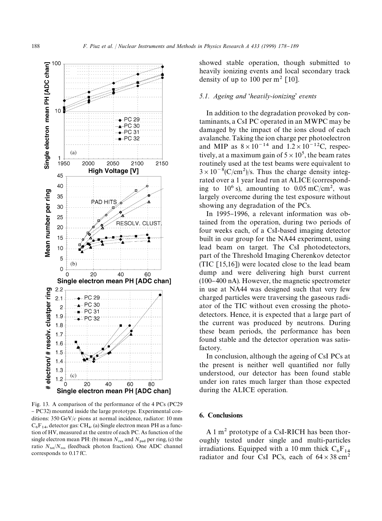

Fig. 13. A comparison of the performance of the 4 PCs (PC29 - PC32) mounted inside the large prototype. Experimental conditions: 350 GeV/*c* pions at normal incidence, radiator: 10 mm  $C_6F_{14}$ , detector gas: CH<sub>4</sub>. (a) Single electron mean PH as a function of HV, measured at the centre of each PC. As function of the single electron mean PH: (b) mean  $N_{\text{res}}$  and  $N_{\text{pad}}$  per ring, (c) the ratio  $N_{\text{tot}}/N_{\text{res}}$  (feedback photon fraction). One ADC channel corresponds to 0.17 fC.

showed stable operation, though submitted to heavily ionizing events and local secondary track density of up to 100 per  $m^2$  [10].

## *5.1. Ageing and* &*heavily-ionizing*' *events*

In addition to the degradation provoked by contaminants, a CsI PC operated in an MWPC may be damaged by the impact of the ions cloud of each avalanche. Taking the ion charge per photoelectron and MIP as  $8 \times 10^{-14}$  and  $1.2 \times 10^{-12}$ C, respectively, at a maximum gain of  $5 \times 10^5$ , the beam rates routinely used at the test beams were equivalent to  $3 \times 10^{-8}$ (C/cm<sup>2</sup>)/s. Thus the charge density integrated over a 1 year lead run at ALICE (corresponding to  $10^6$  s), amounting to  $0.05$  mC/cm<sup>2</sup>, was largely overcome during the test exposure without showing any degradation of the PCs.

In 1995-1996, a relevant information was obtained from the operation, during two periods of four weeks each, of a CsI-based imaging detector built in our group for the NA44 experiment, using lead beam on target. The CsI photodetectors, part of the Threshold Imaging Cherenkov detector (TIC  $[15,16]$ ) were located close to the lead beam dump and were delivering high burst current  $(100-400 \text{ nA})$ . However, the magnetic spectrometer in use at NA44 was designed such that very few charged particles were traversing the gaseous radiator of the TIC without even crossing the photodetectors. Hence, it is expected that a large part of the current was produced by neutrons. During these beam periods, the performance has been found stable and the detector operation was satisfactory.

In conclusion, although the ageing of CsI PCs at the present is neither well quantified nor fully understood, our detector has been found stable under ion rates much larger than those expected during the ALICE operation.

# 6. Conclusions

A 1 m<sup>2</sup> prototype of a CsI-RICH has been thoroughly tested under single and multi-particles irradiations. Equipped with a 10 mm thick  $C_6F_{14}$ radiator and four CsI PCs, each of  $64 \times 38$  cm<sup>2</sup>